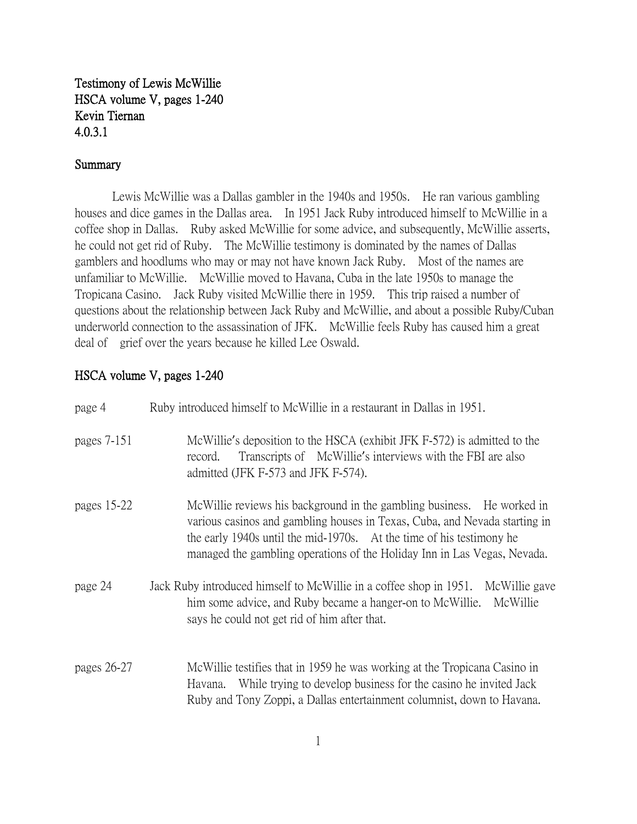Testimony of Lewis McWillie HSCA volume V, pages 1-240 Kevin Tiernan 4.0.3.1

## Summary

Lewis McWillie was a Dallas gambler in the 1940s and 1950s. He ran various gambling houses and dice games in the Dallas area. In 1951 Jack Ruby introduced himself to McWillie in a coffee shop in Dallas. Ruby asked McWillie for some advice, and subsequently, McWillie asserts, he could not get rid of Ruby. The McWillie testimony is dominated by the names of Dallas gamblers and hoodlums who may or may not have known Jack Ruby. Most of the names are unfamiliar to McWillie. McWillie moved to Havana, Cuba in the late 1950s to manage the Tropicana Casino. Jack Ruby visited McWillie there in 1959. This trip raised a number of questions about the relationship between Jack Ruby and McWillie, and about a possible Ruby/Cuban underworld connection to the assassination of JFK. McWillie feels Ruby has caused him a great deal of grief over the years because he killed Lee Oswald.

## HSCA volume V, pages 1-240

| page 4      | Ruby introduced himself to McWillie in a restaurant in Dallas in 1951.                                                                                                                                                                                                                                   |
|-------------|----------------------------------------------------------------------------------------------------------------------------------------------------------------------------------------------------------------------------------------------------------------------------------------------------------|
| pages 7-151 | McWillie's deposition to the HSCA (exhibit JFK F-572) is admitted to the<br>Transcripts of McWillie's interviews with the FBI are also<br>record.<br>admitted (JFK F-573 and JFK F-574).                                                                                                                 |
| pages 15-22 | McWillie reviews his background in the gambling business. He worked in<br>various casinos and gambling houses in Texas, Cuba, and Nevada starting in<br>the early 1940s until the mid-1970s. At the time of his testimony he<br>managed the gambling operations of the Holiday Inn in Las Vegas, Nevada. |
| page 24     | Jack Ruby introduced himself to McWillie in a coffee shop in 1951.<br>McWillie gave<br>McWillie<br>him some advice, and Ruby became a hanger-on to McWillie.<br>says he could not get rid of him after that.                                                                                             |
| pages 26-27 | McWillie testifies that in 1959 he was working at the Tropicana Casino in<br>While trying to develop business for the casino he invited Jack<br>Havana.<br>Ruby and Tony Zoppi, a Dallas entertainment columnist, down to Havana.                                                                        |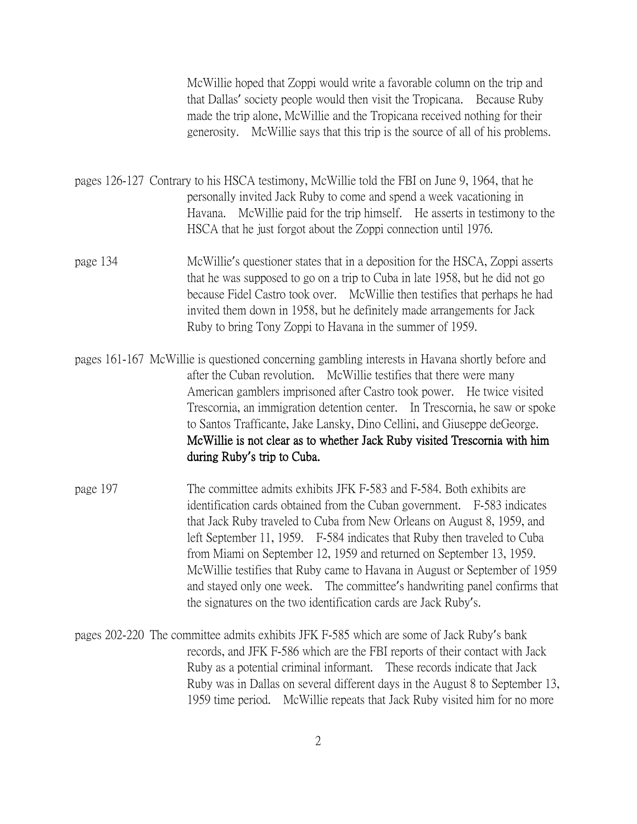McWillie hoped that Zoppi would write a favorable column on the trip and that Dallas' society people would then visit the Tropicana. Because Ruby made the trip alone, McWillie and the Tropicana received nothing for their generosity. McWillie says that this trip is the source of all of his problems.

pages 126-127 Contrary to his HSCA testimony, McWillie told the FBI on June 9, 1964, that he personally invited Jack Ruby to come and spend a week vacationing in Havana. McWillie paid for the trip himself. He asserts in testimony to the HSCA that he just forgot about the Zoppi connection until 1976.

- page 134 McWillie's questioner states that in a deposition for the HSCA, Zoppi asserts that he was supposed to go on a trip to Cuba in late 1958, but he did not go because Fidel Castro took over. McWillie then testifies that perhaps he had invited them down in 1958, but he definitely made arrangements for Jack Ruby to bring Tony Zoppi to Havana in the summer of 1959.
- pages 161-167 McWillie is questioned concerning gambling interests in Havana shortly before and after the Cuban revolution. McWillie testifies that there were many American gamblers imprisoned after Castro took power. He twice visited Trescornia, an immigration detention center. In Trescornia, he saw or spoke to Santos Trafficante, Jake Lansky, Dino Cellini, and Giuseppe deGeorge. McWillie is not clear as to whether Jack Ruby visited Trescornia with him during Ruby**'**s trip to Cuba.
- page 197 The committee admits exhibits JFK F-583 and F-584. Both exhibits are identification cards obtained from the Cuban government. F-583 indicates that Jack Ruby traveled to Cuba from New Orleans on August 8, 1959, and left September 11, 1959. F-584 indicates that Ruby then traveled to Cuba from Miami on September 12, 1959 and returned on September 13, 1959. McWillie testifies that Ruby came to Havana in August or September of 1959 and stayed only one week. The committee's handwriting panel confirms that the signatures on the two identification cards are Jack Ruby's.
- pages 202-220 The committee admits exhibits JFK F-585 which are some of Jack Ruby's bank records, and JFK F-586 which are the FBI reports of their contact with Jack Ruby as a potential criminal informant. These records indicate that Jack Ruby was in Dallas on several different days in the August 8 to September 13, 1959 time period. McWillie repeats that Jack Ruby visited him for no more